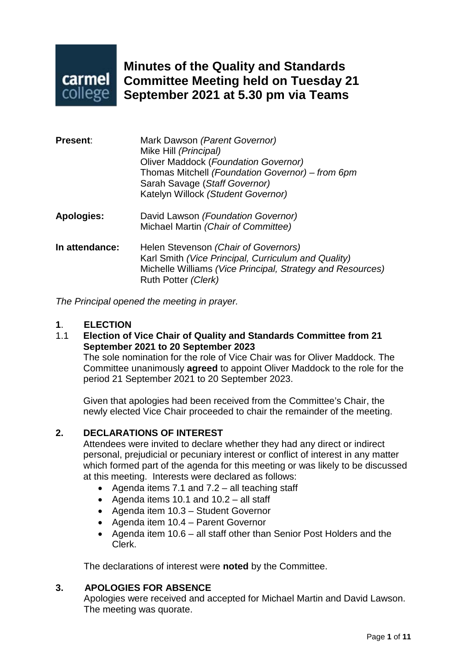

**Minutes of the Quality and Standards Committee Meeting held on Tuesday 21 September 2021 at 5.30 pm via Teams**

| <b>Present:</b>   | Mark Dawson (Parent Governor)<br>Mike Hill (Principal)<br><b>Oliver Maddock (Foundation Governor)</b><br>Thomas Mitchell (Foundation Governor) – from 6pm<br>Sarah Savage (Staff Governor)<br>Katelyn Willock (Student Governor) |
|-------------------|----------------------------------------------------------------------------------------------------------------------------------------------------------------------------------------------------------------------------------|
| <b>Apologies:</b> | David Lawson (Foundation Governor)<br>Michael Martin (Chair of Committee)                                                                                                                                                        |
| In attendance:    | Helen Stevenson (Chair of Governors)<br>Karl Smith (Vice Principal, Curriculum and Quality)<br>Michelle Williams (Vice Principal, Strategy and Resources)<br>Ruth Potter (Clerk)                                                 |

*The Principal opened the meeting in prayer.*

#### **1**. **ELECTION**

1.1 **Election of Vice Chair of Quality and Standards Committee from 21 September 2021 to 20 September 2023**

The sole nomination for the role of Vice Chair was for Oliver Maddock. The Committee unanimously **agreed** to appoint Oliver Maddock to the role for the period 21 September 2021 to 20 September 2023.

Given that apologies had been received from the Committee's Chair, the newly elected Vice Chair proceeded to chair the remainder of the meeting.

#### **2. DECLARATIONS OF INTEREST**

Attendees were invited to declare whether they had any direct or indirect personal, prejudicial or pecuniary interest or conflict of interest in any matter which formed part of the agenda for this meeting or was likely to be discussed at this meeting. Interests were declared as follows:

- Agenda items 7.1 and 7.2 all teaching staff
- Agenda items 10.1 and 10.2 all staff
- Agenda item 10.3 Student Governor
- Agenda item 10.4 Parent Governor
- Agenda item 10.6 all staff other than Senior Post Holders and the Clerk.

The declarations of interest were **noted** by the Committee.

#### **3. APOLOGIES FOR ABSENCE**

Apologies were received and accepted for Michael Martin and David Lawson. The meeting was quorate.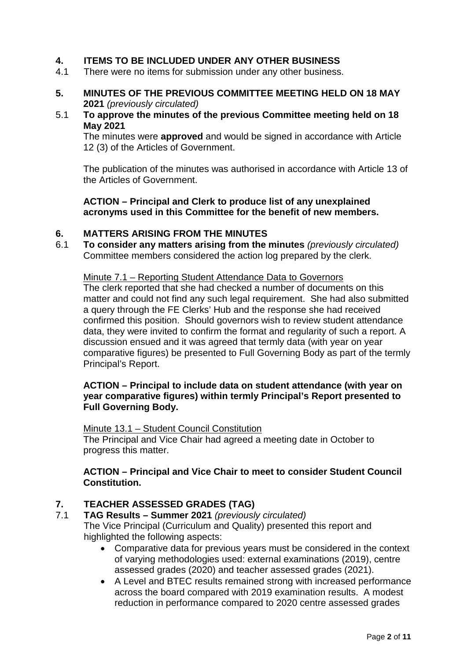# **4. ITEMS TO BE INCLUDED UNDER ANY OTHER BUSINESS**<br>4.1 There were no items for submission under any other business

- There were no items for submission under any other business.
- **5. MINUTES OF THE PREVIOUS COMMITTEE MEETING HELD ON 18 MAY 2021** *(previously circulated)*

#### 5.1 **To approve the minutes of the previous Committee meeting held on 18 May 2021**

The minutes were **approved** and would be signed in accordance with Article 12 (3) of the Articles of Government.

The publication of the minutes was authorised in accordance with Article 13 of the Articles of Government.

**ACTION – Principal and Clerk to produce list of any unexplained acronyms used in this Committee for the benefit of new members.**

#### **6. MATTERS ARISING FROM THE MINUTES**

6.1 **To consider any matters arising from the minutes** *(previously circulated)* Committee members considered the action log prepared by the clerk.

Minute 7.1 – Reporting Student Attendance Data to Governors The clerk reported that she had checked a number of documents on this matter and could not find any such legal requirement. She had also submitted a query through the FE Clerks' Hub and the response she had received confirmed this position. Should governors wish to review student attendance data, they were invited to confirm the format and regularity of such a report. A discussion ensued and it was agreed that termly data (with year on year comparative figures) be presented to Full Governing Body as part of the termly Principal's Report.

#### **ACTION – Principal to include data on student attendance (with year on year comparative figures) within termly Principal's Report presented to Full Governing Body.**

Minute 13.1 – Student Council Constitution

The Principal and Vice Chair had agreed a meeting date in October to progress this matter.

#### **ACTION – Principal and Vice Chair to meet to consider Student Council Constitution.**

# **7. TEACHER ASSESSED GRADES (TAG)**

- 7.1 **TAG Results – Summer 2021** *(previously circulated)* The Vice Principal (Curriculum and Quality) presented this report and highlighted the following aspects:
	- Comparative data for previous years must be considered in the context of varying methodologies used: external examinations (2019), centre assessed grades (2020) and teacher assessed grades (2021).
	- A Level and BTEC results remained strong with increased performance across the board compared with 2019 examination results. A modest reduction in performance compared to 2020 centre assessed grades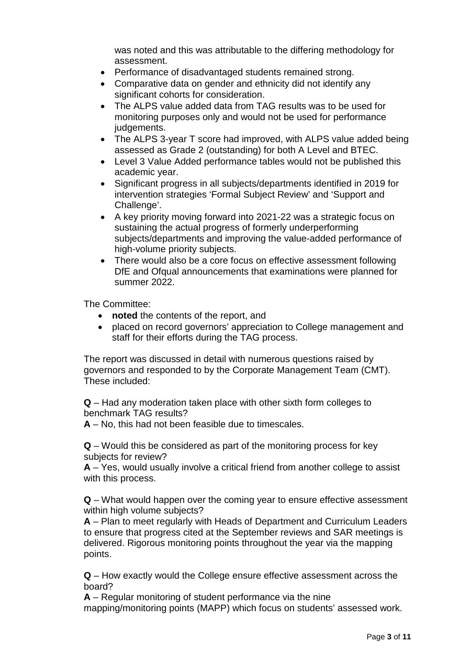was noted and this was attributable to the differing methodology for assessment.

- Performance of disadvantaged students remained strong.
- Comparative data on gender and ethnicity did not identify any significant cohorts for consideration.
- The ALPS value added data from TAG results was to be used for monitoring purposes only and would not be used for performance judgements.
- The ALPS 3-year T score had improved, with ALPS value added being assessed as Grade 2 (outstanding) for both A Level and BTEC.
- Level 3 Value Added performance tables would not be published this academic year.
- Significant progress in all subjects/departments identified in 2019 for intervention strategies 'Formal Subject Review' and 'Support and Challenge'.
- A key priority moving forward into 2021-22 was a strategic focus on sustaining the actual progress of formerly underperforming subjects/departments and improving the value-added performance of high-volume priority subjects.
- There would also be a core focus on effective assessment following DfE and Ofqual announcements that examinations were planned for summer 2022.

The Committee:

- **noted** the contents of the report, and
- placed on record governors' appreciation to College management and staff for their efforts during the TAG process.

The report was discussed in detail with numerous questions raised by governors and responded to by the Corporate Management Team (CMT). These included:

**Q** – Had any moderation taken place with other sixth form colleges to benchmark TAG results?

**A** – No, this had not been feasible due to timescales.

**Q** – Would this be considered as part of the monitoring process for key subjects for review?

**A** – Yes, would usually involve a critical friend from another college to assist with this process.

**Q** – What would happen over the coming year to ensure effective assessment within high volume subjects?

**A** – Plan to meet regularly with Heads of Department and Curriculum Leaders to ensure that progress cited at the September reviews and SAR meetings is delivered. Rigorous monitoring points throughout the year via the mapping points.

**Q** – How exactly would the College ensure effective assessment across the board?

**A** – Regular monitoring of student performance via the nine mapping/monitoring points (MAPP) which focus on students' assessed work.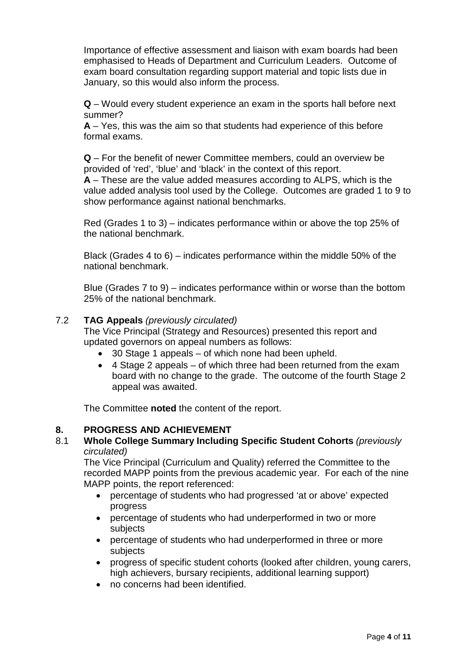Importance of effective assessment and liaison with exam boards had been emphasised to Heads of Department and Curriculum Leaders. Outcome of exam board consultation regarding support material and topic lists due in January, so this would also inform the process.

**Q** – Would every student experience an exam in the sports hall before next summer?

**A** – Yes, this was the aim so that students had experience of this before formal exams.

**Q** – For the benefit of newer Committee members, could an overview be provided of 'red', 'blue' and 'black' in the context of this report.

**A** – These are the value added measures according to ALPS, which is the value added analysis tool used by the College. Outcomes are graded 1 to 9 to show performance against national benchmarks.

Red (Grades 1 to 3) – indicates performance within or above the top 25% of the national benchmark.

Black (Grades 4 to 6) – indicates performance within the middle 50% of the national benchmark.

Blue (Grades 7 to 9) – indicates performance within or worse than the bottom 25% of the national benchmark.

#### 7.2 **TAG Appeals** *(previously circulated)*

The Vice Principal (Strategy and Resources) presented this report and updated governors on appeal numbers as follows:

- 30 Stage 1 appeals of which none had been upheld.
- 4 Stage 2 appeals of which three had been returned from the exam board with no change to the grade. The outcome of the fourth Stage 2 appeal was awaited.

The Committee **noted** the content of the report.

#### **8. PROGRESS AND ACHIEVEMENT**

#### 8.1 **Whole College Summary Including Specific Student Cohorts** *(previously circulated)*

The Vice Principal (Curriculum and Quality) referred the Committee to the recorded MAPP points from the previous academic year. For each of the nine MAPP points, the report referenced:

- percentage of students who had progressed 'at or above' expected progress
- percentage of students who had underperformed in two or more subjects
- percentage of students who had underperformed in three or more subjects
- progress of specific student cohorts (looked after children, young carers, high achievers, bursary recipients, additional learning support)
- no concerns had been identified.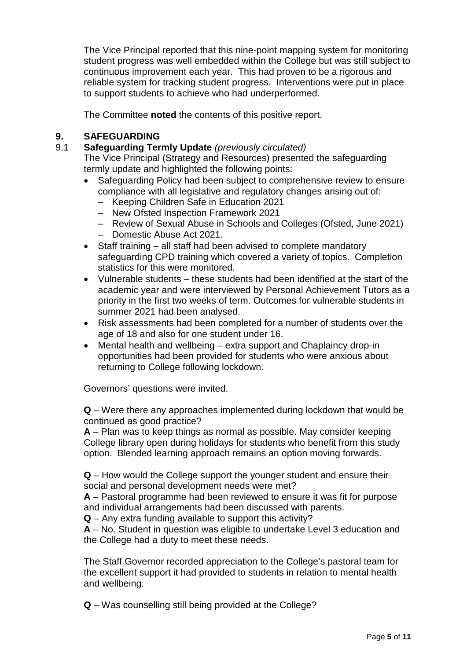The Vice Principal reported that this nine-point mapping system for monitoring student progress was well embedded within the College but was still subject to continuous improvement each year. This had proven to be a rigorous and reliable system for tracking student progress. Interventions were put in place to support students to achieve who had underperformed.

The Committee **noted** the contents of this positive report.

# **9. SAFEGUARDING**

9.1 **Safeguarding Termly Update** *(previously circulated)*

The Vice Principal (Strategy and Resources) presented the safeguarding termly update and highlighted the following points:

- Safeguarding Policy had been subject to comprehensive review to ensure compliance with all legislative and regulatory changes arising out of:
	- Keeping Children Safe in Education 2021
	- New Ofsted Inspection Framework 2021
	- Review of Sexual Abuse in Schools and Colleges (Ofsted, June 2021)
	- Domestic Abuse Act 2021.
- Staff training all staff had been advised to complete mandatory safeguarding CPD training which covered a variety of topics. Completion statistics for this were monitored.
- Vulnerable students these students had been identified at the start of the academic year and were interviewed by Personal Achievement Tutors as a priority in the first two weeks of term. Outcomes for vulnerable students in summer 2021 had been analysed.
- Risk assessments had been completed for a number of students over the age of 18 and also for one student under 16.
- Mental health and wellbeing extra support and Chaplaincy drop-in opportunities had been provided for students who were anxious about returning to College following lockdown.

Governors' questions were invited.

**Q** – Were there any approaches implemented during lockdown that would be continued as good practice?

**A** – Plan was to keep things as normal as possible. May consider keeping College library open during holidays for students who benefit from this study option. Blended learning approach remains an option moving forwards.

**Q** – How would the College support the younger student and ensure their social and personal development needs were met?

**A** – Pastoral programme had been reviewed to ensure it was fit for purpose and individual arrangements had been discussed with parents.

**Q** – Any extra funding available to support this activity?

**A** – No. Student in question was eligible to undertake Level 3 education and the College had a duty to meet these needs.

The Staff Governor recorded appreciation to the College's pastoral team for the excellent support it had provided to students in relation to mental health and wellbeing.

**Q** – Was counselling still being provided at the College?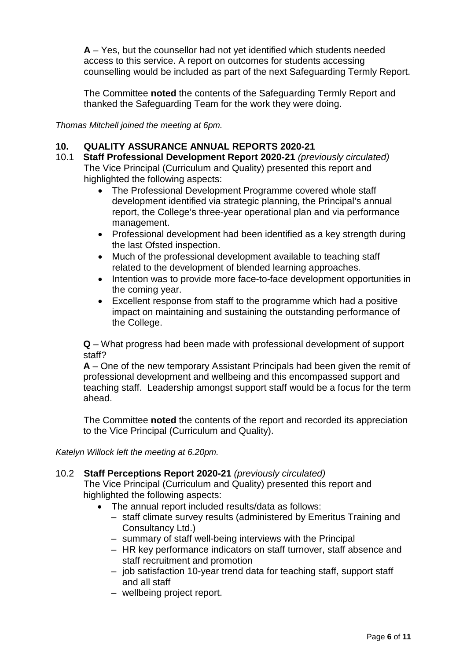**A** – Yes, but the counsellor had not yet identified which students needed access to this service. A report on outcomes for students accessing counselling would be included as part of the next Safeguarding Termly Report.

The Committee **noted** the contents of the Safeguarding Termly Report and thanked the Safeguarding Team for the work they were doing.

*Thomas Mitchell joined the meeting at 6pm.*

# **10. QUALITY ASSURANCE ANNUAL REPORTS 2020-21**

- 10.1 **Staff Professional Development Report 2020-21** *(previously circulated)* The Vice Principal (Curriculum and Quality) presented this report and highlighted the following aspects:
	- The Professional Development Programme covered whole staff development identified via strategic planning, the Principal's annual report, the College's three-year operational plan and via performance management.
	- Professional development had been identified as a key strength during the last Ofsted inspection.
	- Much of the professional development available to teaching staff related to the development of blended learning approaches.
	- Intention was to provide more face-to-face development opportunities in the coming year.
	- Excellent response from staff to the programme which had a positive impact on maintaining and sustaining the outstanding performance of the College.

**Q** – What progress had been made with professional development of support staff?

**A** – One of the new temporary Assistant Principals had been given the remit of professional development and wellbeing and this encompassed support and teaching staff. Leadership amongst support staff would be a focus for the term ahead.

The Committee **noted** the contents of the report and recorded its appreciation to the Vice Principal (Curriculum and Quality).

*Katelyn Willock left the meeting at 6.20pm.*

#### 10.2 **Staff Perceptions Report 2020-21** *(previously circulated)*

The Vice Principal (Curriculum and Quality) presented this report and highlighted the following aspects:

- The annual report included results/data as follows:
	- staff climate survey results (administered by Emeritus Training and Consultancy Ltd.)
	- summary of staff well-being interviews with the Principal
	- HR key performance indicators on staff turnover, staff absence and staff recruitment and promotion
	- job satisfaction 10-year trend data for teaching staff, support staff and all staff
	- wellbeing project report.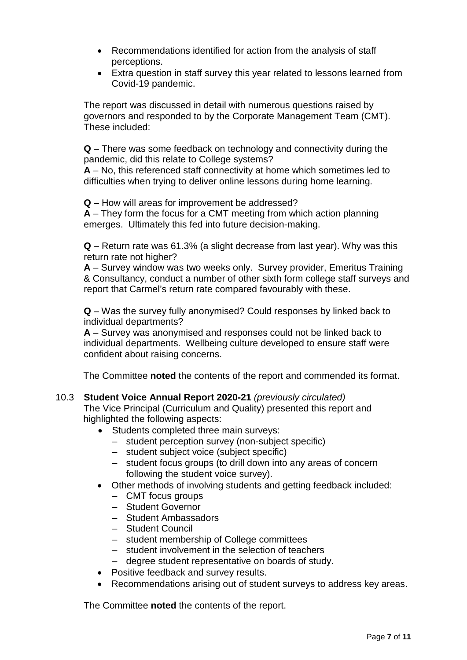- Recommendations identified for action from the analysis of staff perceptions.
- Extra question in staff survey this year related to lessons learned from Covid-19 pandemic.

The report was discussed in detail with numerous questions raised by governors and responded to by the Corporate Management Team (CMT). These included:

**Q** – There was some feedback on technology and connectivity during the pandemic, did this relate to College systems?

**A** – No, this referenced staff connectivity at home which sometimes led to difficulties when trying to deliver online lessons during home learning.

**Q** – How will areas for improvement be addressed?

**A** – They form the focus for a CMT meeting from which action planning emerges. Ultimately this fed into future decision-making.

**Q** – Return rate was 61.3% (a slight decrease from last year). Why was this return rate not higher?

**A** – Survey window was two weeks only. Survey provider, Emeritus Training & Consultancy, conduct a number of other sixth form college staff surveys and report that Carmel's return rate compared favourably with these.

**Q** – Was the survey fully anonymised? Could responses by linked back to individual departments?

**A** – Survey was anonymised and responses could not be linked back to individual departments. Wellbeing culture developed to ensure staff were confident about raising concerns.

The Committee **noted** the contents of the report and commended its format.

#### 10.3 **Student Voice Annual Report 2020-21** *(previously circulated)*

The Vice Principal (Curriculum and Quality) presented this report and highlighted the following aspects:

- Students completed three main surveys:
	- student perception survey (non-subject specific)
	- student subject voice (subject specific)
	- student focus groups (to drill down into any areas of concern following the student voice survey).
- Other methods of involving students and getting feedback included:
	- CMT focus groups
	- Student Governor
	- Student Ambassadors
	- Student Council
	- student membership of College committees
	- student involvement in the selection of teachers
	- degree student representative on boards of study.
- Positive feedback and survey results.
- Recommendations arising out of student surveys to address key areas.

The Committee **noted** the contents of the report.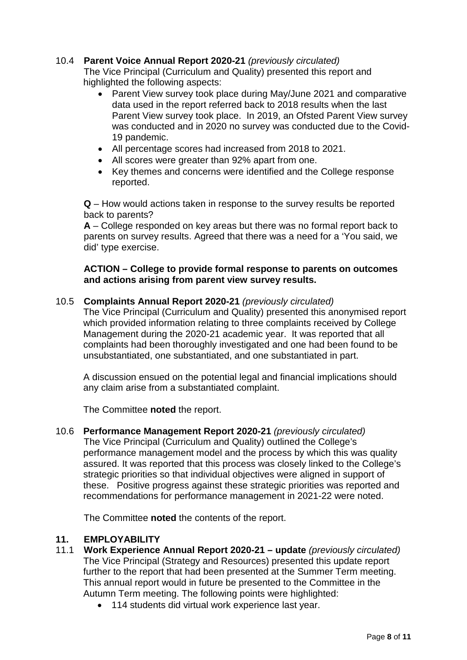# 10.4 **Parent Voice Annual Report 2020-21** *(previously circulated)*

The Vice Principal (Curriculum and Quality) presented this report and highlighted the following aspects:

- Parent View survey took place during May/June 2021 and comparative data used in the report referred back to 2018 results when the last Parent View survey took place. In 2019, an Ofsted Parent View survey was conducted and in 2020 no survey was conducted due to the Covid-19 pandemic.
- All percentage scores had increased from 2018 to 2021.
- All scores were greater than 92% apart from one.
- Key themes and concerns were identified and the College response reported.

**Q** – How would actions taken in response to the survey results be reported back to parents?

**A** – College responded on key areas but there was no formal report back to parents on survey results. Agreed that there was a need for a 'You said, we did' type exercise.

#### **ACTION – College to provide formal response to parents on outcomes and actions arising from parent view survey results.**

#### 10.5 **Complaints Annual Report 2020-21** *(previously circulated)*

The Vice Principal (Curriculum and Quality) presented this anonymised report which provided information relating to three complaints received by College Management during the 2020-21 academic year. It was reported that all complaints had been thoroughly investigated and one had been found to be unsubstantiated, one substantiated, and one substantiated in part.

A discussion ensued on the potential legal and financial implications should any claim arise from a substantiated complaint.

The Committee **noted** the report.

10.6 **Performance Management Report 2020-21** *(previously circulated)* The Vice Principal (Curriculum and Quality) outlined the College's performance management model and the process by which this was quality assured. It was reported that this process was closely linked to the College's strategic priorities so that individual objectives were aligned in support of these. Positive progress against these strategic priorities was reported and recommendations for performance management in 2021-22 were noted.

The Committee **noted** the contents of the report.

#### **11. EMPLOYABILITY**

- 11.1 **Work Experience Annual Report 2020-21 – update** *(previously circulated)* The Vice Principal (Strategy and Resources) presented this update report further to the report that had been presented at the Summer Term meeting. This annual report would in future be presented to the Committee in the Autumn Term meeting. The following points were highlighted:
	- 114 students did virtual work experience last year.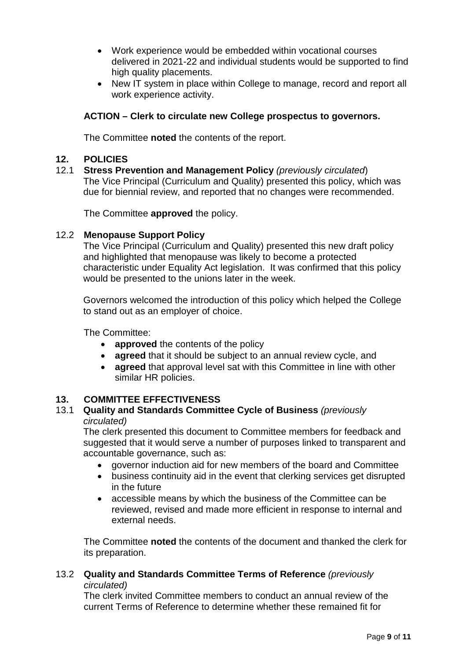- Work experience would be embedded within vocational courses delivered in 2021-22 and individual students would be supported to find high quality placements.
- New IT system in place within College to manage, record and report all work experience activity.

# **ACTION – Clerk to circulate new College prospectus to governors.**

The Committee **noted** the contents of the report.

#### **12. POLICIES**

12.1 **Stress Prevention and Management Policy** *(previously circulated*) The Vice Principal (Curriculum and Quality) presented this policy, which was due for biennial review, and reported that no changes were recommended.

The Committee **approved** the policy.

#### 12.2 **Menopause Support Policy**

The Vice Principal (Curriculum and Quality) presented this new draft policy and highlighted that menopause was likely to become a protected characteristic under Equality Act legislation. It was confirmed that this policy would be presented to the unions later in the week.

Governors welcomed the introduction of this policy which helped the College to stand out as an employer of choice.

The Committee:

- **approved** the contents of the policy
- **agreed** that it should be subject to an annual review cycle, and
- **agreed** that approval level sat with this Committee in line with other similar HR policies.

#### **13. COMMITTEE EFFECTIVENESS**

#### 13.1 **Quality and Standards Committee Cycle of Business** *(previously circulated)*

The clerk presented this document to Committee members for feedback and suggested that it would serve a number of purposes linked to transparent and accountable governance, such as:

- governor induction aid for new members of the board and Committee
- business continuity aid in the event that clerking services get disrupted in the future
- accessible means by which the business of the Committee can be reviewed, revised and made more efficient in response to internal and external needs.

The Committee **noted** the contents of the document and thanked the clerk for its preparation.

#### 13.2 **Quality and Standards Committee Terms of Reference** *(previously circulated)*

The clerk invited Committee members to conduct an annual review of the current Terms of Reference to determine whether these remained fit for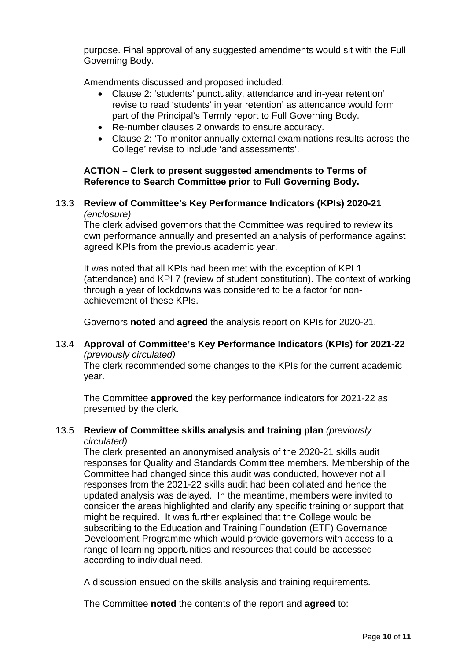purpose. Final approval of any suggested amendments would sit with the Full Governing Body.

Amendments discussed and proposed included:

- Clause 2: 'students' punctuality, attendance and in-year retention' revise to read 'students' in year retention' as attendance would form part of the Principal's Termly report to Full Governing Body.
- Re-number clauses 2 onwards to ensure accuracy.
- Clause 2: 'To monitor annually external examinations results across the College' revise to include 'and assessments'.

# **ACTION – Clerk to present suggested amendments to Terms of Reference to Search Committee prior to Full Governing Body.**

#### 13.3 **Review of Committee's Key Performance Indicators (KPIs) 2020-21**  *(enclosure)*

The clerk advised governors that the Committee was required to review its own performance annually and presented an analysis of performance against agreed KPIs from the previous academic year.

It was noted that all KPIs had been met with the exception of KPI 1 (attendance) and KPI 7 (review of student constitution). The context of working through a year of lockdowns was considered to be a factor for nonachievement of these KPIs.

Governors **noted** and **agreed** the analysis report on KPIs for 2020-21.

# 13.4 **Approval of Committee's Key Performance Indicators (KPIs) for 2021-22** *(previously circulated)*

The clerk recommended some changes to the KPIs for the current academic year.

The Committee **approved** the key performance indicators for 2021-22 as presented by the clerk.

#### 13.5 **Review of Committee skills analysis and training plan** *(previously circulated)*

The clerk presented an anonymised analysis of the 2020-21 skills audit responses for Quality and Standards Committee members. Membership of the Committee had changed since this audit was conducted, however not all responses from the 2021-22 skills audit had been collated and hence the updated analysis was delayed. In the meantime, members were invited to consider the areas highlighted and clarify any specific training or support that might be required. It was further explained that the College would be subscribing to the Education and Training Foundation (ETF) Governance Development Programme which would provide governors with access to a range of learning opportunities and resources that could be accessed according to individual need.

A discussion ensued on the skills analysis and training requirements.

The Committee **noted** the contents of the report and **agreed** to: